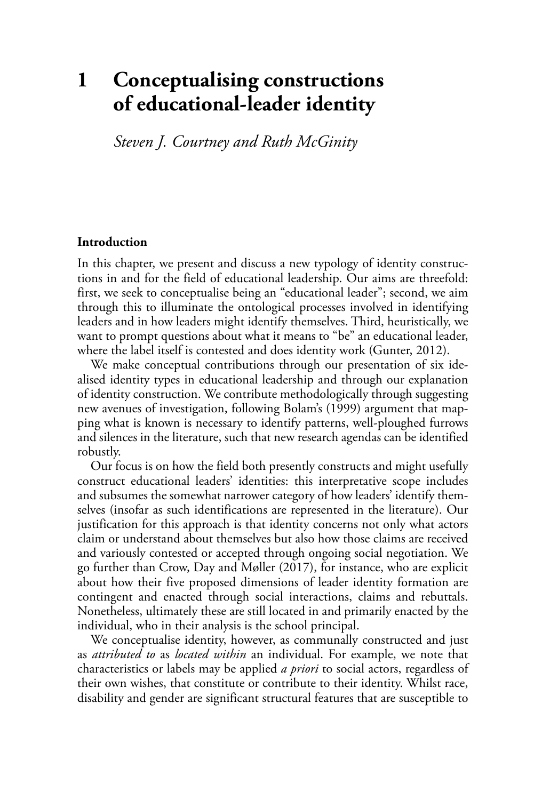# **1 Conceptualising constructions of educational-leader identity**

*Steven J. Courtney and Ruth McGinity* 

#### **Introduction**

In this chapter, we present and discuss a new typology of identity constructions in and for the field of educational leadership. Our aims are threefold: first, we seek to conceptualise being an "educational leader"; second, we aim through this to illuminate the ontological processes involved in identifying leaders and in how leaders might identify themselves. Third, heuristically, we want to prompt questions about what it means to "be" an educational leader, where the label itself is contested and does identity work (Gunter, 2012).

We make conceptual contributions through our presentation of six idealised identity types in educational leadership and through our explanation of identity construction. We contribute methodologically through suggesting new avenues of investigation, following Bolam's (1999) argument that mapping what is known is necessary to identify patterns, well-ploughed furrows and silences in the literature, such that new research agendas can be identified robustly.

Our focus is on how the field both presently constructs and might usefully construct educational leaders' identities: this interpretative scope includes and subsumes the somewhat narrower category of how leaders' identify themselves (insofar as such identifications are represented in the literature). Our justification for this approach is that identity concerns not only what actors claim or understand about themselves but also how those claims are received and variously contested or accepted through ongoing social negotiation. We go further than Crow, Day and Møller (2017 ), for instance, who are explicit about how their five proposed dimensions of leader identity formation are contingent and enacted through social interactions, claims and rebuttals. Nonetheless, ultimately these are still located in and primarily enacted by the individual, who in their analysis is the school principal.

We conceptualise identity, however, as communally constructed and just as *attributed to* as *located within* an individual. For example, we note that characteristics or labels may be applied *a priori* to social actors, regardless of their own wishes, that constitute or contribute to their identity. Whilst race, disability and gender are significant structural features that are susceptible to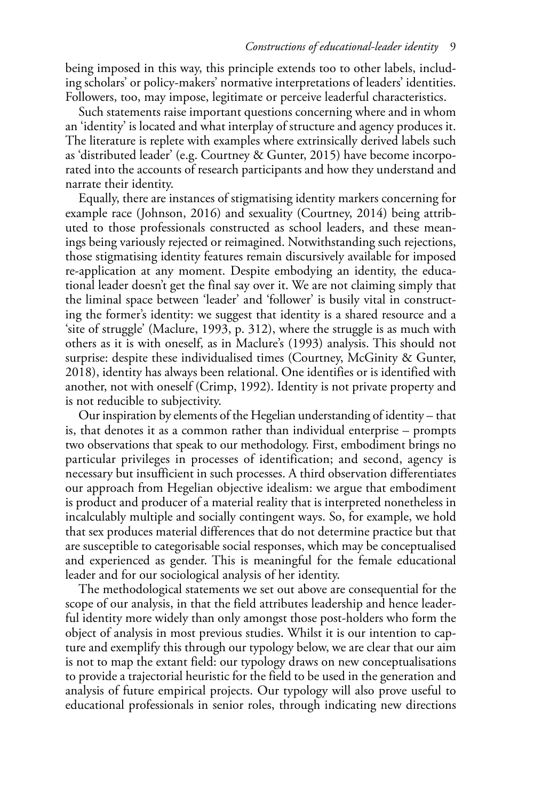being imposed in this way, this principle extends too to other labels, including scholars' or policy-makers' normative interpretations of leaders' identities. Followers, too, may impose, legitimate or perceive leaderful characteristics.

Such statements raise important questions concerning where and in whom an 'identity' is located and what interplay of structure and agency produces it. The literature is replete with examples where extrinsically derived labels such as 'distributed leader' (e.g. Courtney & Gunter, 2015) have become incorporated into the accounts of research participants and how they understand and narrate their identity.

Equally, there are instances of stigmatising identity markers concerning for example race (Johnson, 2016) and sexuality (Courtney, 2014) being attributed to those professionals constructed as school leaders, and these meanings being variously rejected or reimagined. Notwithstanding such rejections, those stigmatising identity features remain discursively available for imposed re-application at any moment. Despite embodying an identity, the educational leader doesn't get the final say over it. We are not claiming simply that the liminal space between 'leader' and 'follower' is busily vital in constructing the former's identity: we suggest that identity is a shared resource and a 'site of struggle' ( Maclure, 1993 , p. 312), where the struggle is as much with others as it is with oneself, as in Maclure's (1993) analysis. This should not surprise: despite these individualised times (Courtney, McGinity & Gunter, 2018 ), identity has always been relational. One identifies or is identified with another, not with oneself (Crimp, 1992). Identity is not private property and is not reducible to subjectivity.

Our inspiration by elements of the Hegelian understanding of identity – that is, that denotes it as a common rather than individual enterprise – prompts two observations that speak to our methodology. First, embodiment brings no particular privileges in processes of identification; and second, agency is necessary but insufficient in such processes. A third observation differentiates our approach from Hegelian objective idealism: we argue that embodiment is product and producer of a material reality that is interpreted nonetheless in incalculably multiple and socially contingent ways. So, for example, we hold that sex produces material differences that do not determine practice but that are susceptible to categorisable social responses, which may be conceptualised and experienced as gender. This is meaningful for the female educational leader and for our sociological analysis of her identity.

The methodological statements we set out above are consequential for the scope of our analysis, in that the field attributes leadership and hence leaderful identity more widely than only amongst those post-holders who form the object of analysis in most previous studies. Whilst it is our intention to capture and exemplify this through our typology below, we are clear that our aim is not to map the extant field: our typology draws on new conceptualisations to provide a trajectorial heuristic for the field to be used in the generation and analysis of future empirical projects. Our typology will also prove useful to educational professionals in senior roles, through indicating new directions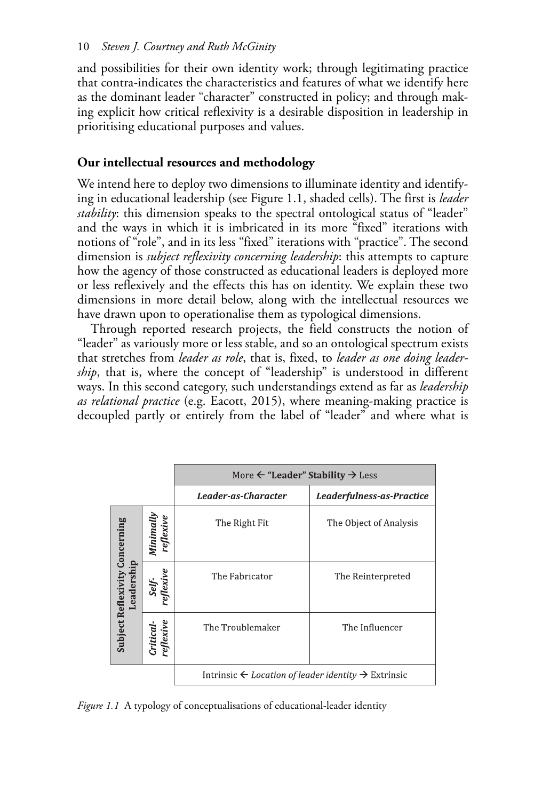and possibilities for their own identity work; through legitimating practice that contra-indicates the characteristics and features of what we identify here as the dominant leader "character" constructed in policy; and through making explicit how critical reflexivity is a desirable disposition in leadership in prioritising educational purposes and values.

# **Our intellectual resources and methodology**

We intend here to deploy two dimensions to illuminate identity and identifying in educational leadership (see Figure 1.1 , shaded cells). The first is *leader stability*: this dimension speaks to the spectral ontological status of "leader" and the ways in which it is imbricated in its more "fixed" iterations with notions of "role", and in its less "fixed" iterations with "practice". The second dimension is *subject reflexivity concerning leadership*: this attempts to capture how the agency of those constructed as educational leaders is deployed more or less reflexively and the effects this has on identity. We explain these two dimensions in more detail below, along with the intellectual resources we have drawn upon to operationalise them as typological dimensions.

Through reported research projects, the field constructs the notion of "leader" as variously more or less stable, and so an ontological spectrum exists that stretches from *leader as role*, that is, fixed, to *leader as one doing leadership*, that is, where the concept of "leadership" is understood in different ways. In this second category, such understandings extend as far as *leadership as relational practice* (e.g. Eacott, 2015), where meaning-making practice is decoupled partly or entirely from the label of "leader" and where what is

|                                                     |                        | More $\leftarrow$ "Leader" Stability $\rightarrow$ Less                    |                           |
|-----------------------------------------------------|------------------------|----------------------------------------------------------------------------|---------------------------|
|                                                     |                        | Leader-as-Character                                                        | Leaderfulness-as-Practice |
| Subject Reflexivity Concerning<br>eade <sub>1</sub> | Minimally<br>reflexive | The Right Fit                                                              | The Object of Analysis    |
|                                                     | eflexive<br>Self-      | The Fabricator                                                             | The Reinterpreted         |
|                                                     | reflexive<br>Critical  | The Troublemaker                                                           | The Influencer            |
|                                                     |                        | Intrinsic $\leftarrow$ Location of leader identity $\rightarrow$ Extrinsic |                           |

*Figure 1.1* A typology of conceptualisations of educational-leader identity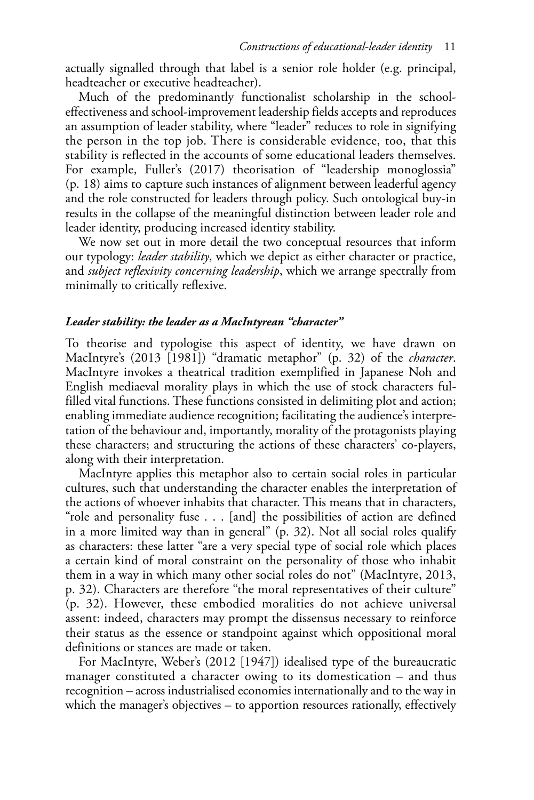actually signalled through that label is a senior role holder (e.g. principal, headteacher or executive headteacher).

Much of the predominantly functionalist scholarship in the schooleffectiveness and school-improvement leadership fields accepts and reproduces an assumption of leader stability, where "leader" reduces to role in signifying the person in the top job. There is considerable evidence, too, that this stability is reflected in the accounts of some educational leaders themselves. For example, Fuller's (2017) theorisation of "leadership monoglossia" (p. 18) aims to capture such instances of alignment between leaderful agency and the role constructed for leaders through policy. Such ontological buy-in results in the collapse of the meaningful distinction between leader role and leader identity, producing increased identity stability.

We now set out in more detail the two conceptual resources that inform our typology: *leader stability*, which we depict as either character or practice, and *subject reflexivity concerning leadership*, which we arrange spectrally from minimally to critically reflexive.

## *Leader stability: the leader as a MacIntyrean "character"*

To theorise and typologise this aspect of identity, we have drawn on MacIntyre's (2013 [1981]) "dramatic metaphor" (p. 32) of the *character*. MacIntyre invokes a theatrical tradition exemplified in Japanese Noh and English mediaeval morality plays in which the use of stock characters fulfilled vital functions. These functions consisted in delimiting plot and action; enabling immediate audience recognition; facilitating the audience's interpretation of the behaviour and, importantly, morality of the protagonists playing these characters; and structuring the actions of these characters' co-players, along with their interpretation.

MacIntyre applies this metaphor also to certain social roles in particular cultures, such that understanding the character enables the interpretation of the actions of whoever inhabits that character. This means that in characters, "role and personality fuse . . . [and] the possibilities of action are defined in a more limited way than in general" (p. 32). Not all social roles qualify as characters: these latter "are a very special type of social role which places a certain kind of moral constraint on the personality of those who inhabit them in a way in which many other social roles do not" (MacIntyre, 2013, p. 32). Characters are therefore "the moral representatives of their culture" (p. 32). However, these embodied moralities do not achieve universal assent: indeed, characters may prompt the dissensus necessary to reinforce their status as the essence or standpoint against which oppositional moral definitions or stances are made or taken.

For MacIntyre, Weber's (2012 [1947]) idealised type of the bureaucratic manager constituted a character owing to its domestication – and thus recognition – across industrialised economies internationally and to the way in which the manager's objectives – to apportion resources rationally, effectively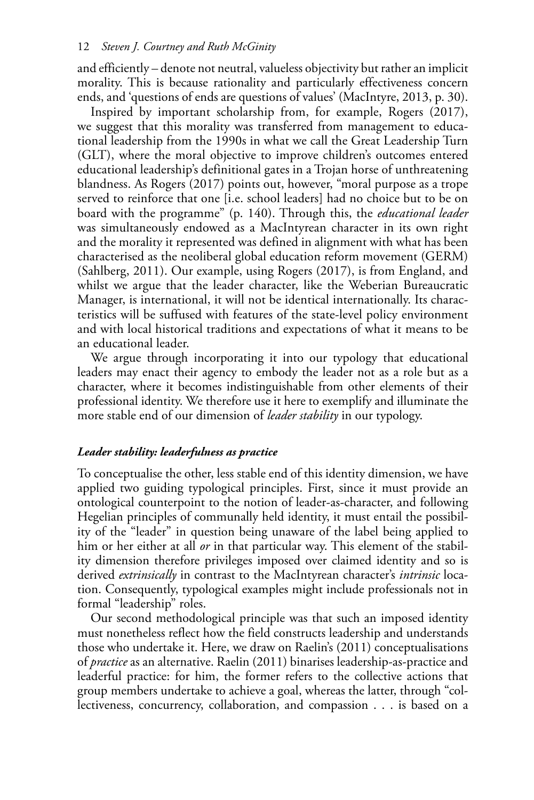and efficiently – denote not neutral, valueless objectivity but rather an implicit morality. This is because rationality and particularly effectiveness concern ends, and 'questions of ends are questions of values' ( MacIntyre, 2013 , p. 30).

Inspired by important scholarship from, for example, Rogers (2017), we suggest that this morality was transferred from management to educational leadership from the 1990s in what we call the Great Leadership Turn (GLT), where the moral objective to improve children's outcomes entered educational leadership's definitional gates in a Trojan horse of unthreatening blandness. As Rogers (2017) points out, however, "moral purpose as a trope served to reinforce that one [i.e. school leaders] had no choice but to be on board with the programme" (p. 140). Through this, the *educational leader*  was simultaneously endowed as a MacIntyrean character in its own right and the morality it represented was defined in alignment with what has been characterised as the neoliberal global education reform movement (GERM) (Sahlberg, 2011). Our example, using Rogers (2017), is from England, and whilst we argue that the leader character, like the Weberian Bureaucratic Manager, is international, it will not be identical internationally. Its characteristics will be suffused with features of the state-level policy environment and with local historical traditions and expectations of what it means to be an educational leader.

We argue through incorporating it into our typology that educational leaders may enact their agency to embody the leader not as a role but as a character, where it becomes indistinguishable from other elements of their professional identity. We therefore use it here to exemplify and illuminate the more stable end of our dimension of *leader stability* in our typology.

#### *Leader stability: leaderfulness as practice*

To conceptualise the other, less stable end of this identity dimension, we have applied two guiding typological principles. First, since it must provide an ontological counterpoint to the notion of leader-as-character, and following Hegelian principles of communally held identity, it must entail the possibility of the "leader" in question being unaware of the label being applied to him or her either at all *or* in that particular way. This element of the stability dimension therefore privileges imposed over claimed identity and so is derived *extrinsically* in contrast to the MacIntyrean character's *intrinsic* location. Consequently, typological examples might include professionals not in formal "leadership" roles.

Our second methodological principle was that such an imposed identity must nonetheless reflect how the field constructs leadership and understands those who undertake it. Here, we draw on Raelin's (2011 ) conceptualisations of *practice* as an alternative. Raelin (2011 ) binarises leadership-as-practice and leaderful practice: for him, the former refers to the collective actions that group members undertake to achieve a goal, whereas the latter, through "collectiveness, concurrency, collaboration, and compassion . . . is based on a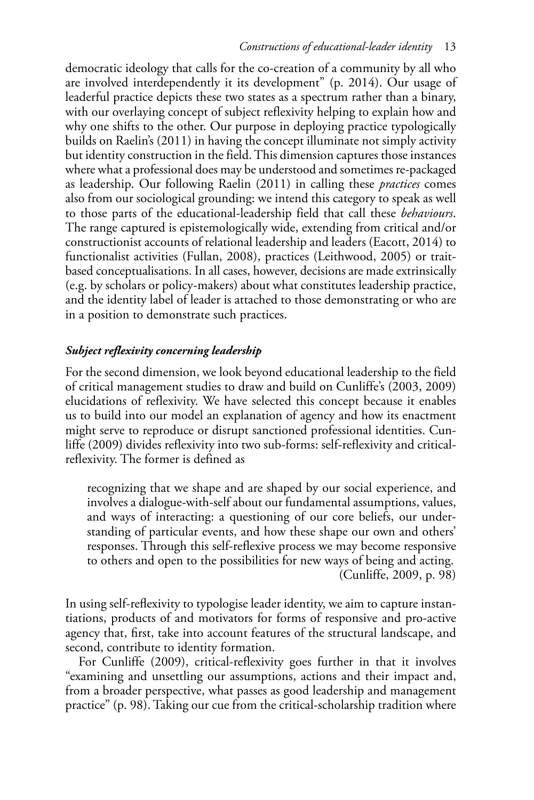democratic ideology that calls for the co-creation of a community by all who are involved interdependently it its development" (p. 2014). Our usage of leaderful practice depicts these two states as a spectrum rather than a binary, with our overlaying concept of subject reflexivity helping to explain how and why one shifts to the other. Our purpose in deploying practice typologically builds on Raelin's (2011 ) in having the concept illuminate not simply activity but identity construction in the field. This dimension captures those instances where what a professional does may be understood and sometimes re-packaged as leadership. Our following Raelin (2011) in calling these *practices* comes also from our sociological grounding: we intend this category to speak as well to those parts of the educational-leadership field that call these *behaviours*. The range captured is epistemologically wide, extending from critical and/or constructionist accounts of relational leadership and leaders (Eacott, 2014) to functionalist activities (Fullan, 2008), practices (Leithwood, 2005) or traitbased conceptualisations. In all cases, however, decisions are made extrinsically (e.g. by scholars or policy-makers) about what constitutes leadership practice, and the identity label of leader is attached to those demonstrating or who are in a position to demonstrate such practices.

# *Subject reflexivity concerning leadership*

For the second dimension, we look beyond educational leadership to the field of critical management studies to draw and build on Cunliffe's (2003, 2009) elucidations of reflexivity. We have selected this concept because it enables us to build into our model an explanation of agency and how its enactment might serve to reproduce or disrupt sanctioned professional identities. Cunliffe (2009) divides reflexivity into two sub-forms: self-reflexivity and criticalreflexivity. The former is defined as

recognizing that we shape and are shaped by our social experience, and involves a dialogue-with-self about our fundamental assumptions, values, and ways of interacting: a questioning of our core beliefs, our understanding of particular events, and how these shape our own and others' responses. Through this self-reflexive process we may become responsive to others and open to the possibilities for new ways of being and acting. (Cunliffe, 2009, p. 98)

In using self-refexivity to typologise leader identity, we aim to capture instantiations, products of and motivators for forms of responsive and pro-active agency that, frst, take into account features of the structural landscape, and second, contribute to identity formation.

For Cunliffe (2009), critical-reflexivity goes further in that it involves "examining and unsettling our assumptions, actions and their impact and, from a broader perspective, what passes as good leadership and management practice" (p. 98). Taking our cue from the critical-scholarship tradition where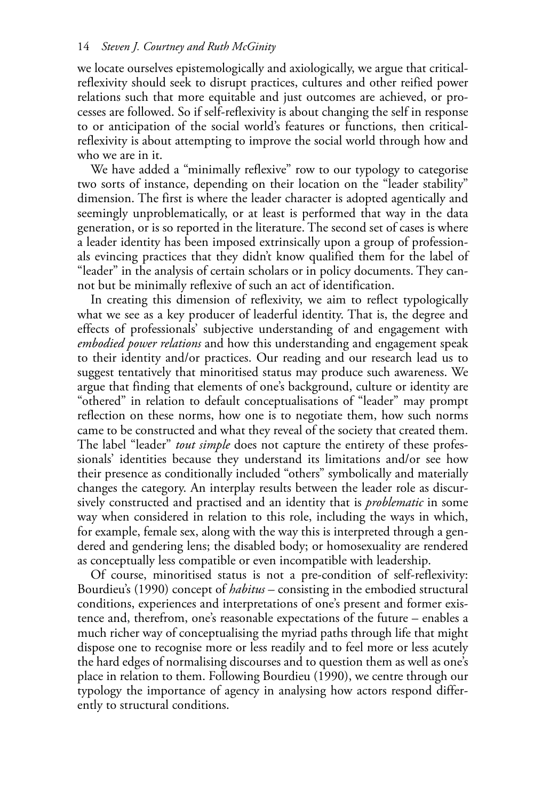we locate ourselves epistemologically and axiologically, we argue that criticalreflexivity should seek to disrupt practices, cultures and other reified power relations such that more equitable and just outcomes are achieved, or processes are followed. So if self-reflexivity is about changing the self in response to or anticipation of the social world's features or functions, then criticalreflexivity is about attempting to improve the social world through how and who we are in it.

We have added a "minimally reflexive" row to our typology to categorise two sorts of instance, depending on their location on the "leader stability" dimension. The first is where the leader character is adopted agentically and seemingly unproblematically, or at least is performed that way in the data generation, or is so reported in the literature. The second set of cases is where a leader identity has been imposed extrinsically upon a group of professionals evincing practices that they didn't know qualified them for the label of "leader" in the analysis of certain scholars or in policy documents. They cannot but be minimally reflexive of such an act of identification.

In creating this dimension of reflexivity, we aim to reflect typologically what we see as a key producer of leaderful identity. That is, the degree and effects of professionals' subjective understanding of and engagement with *embodied power relations* and how this understanding and engagement speak to their identity and/or practices. Our reading and our research lead us to suggest tentatively that minoritised status may produce such awareness. We argue that finding that elements of one's background, culture or identity are "othered" in relation to default conceptualisations of "leader" may prompt reflection on these norms, how one is to negotiate them, how such norms came to be constructed and what they reveal of the society that created them. The label "leader" *tout simple* does not capture the entirety of these professionals' identities because they understand its limitations and/or see how their presence as conditionally included "others" symbolically and materially changes the category. An interplay results between the leader role as discursively constructed and practised and an identity that is *problematic* in some way when considered in relation to this role, including the ways in which, for example, female sex, along with the way this is interpreted through a gendered and gendering lens; the disabled body; or homosexuality are rendered as conceptually less compatible or even incompatible with leadership.

Of course, minoritised status is not a pre-condition of self-reflexivity: Bourdieu's (1990) concept of *habitus* – consisting in the embodied structural conditions, experiences and interpretations of one's present and former existence and, therefrom, one's reasonable expectations of the future – enables a much richer way of conceptualising the myriad paths through life that might dispose one to recognise more or less readily and to feel more or less acutely the hard edges of normalising discourses and to question them as well as one's place in relation to them. Following Bourdieu (1990), we centre through our typology the importance of agency in analysing how actors respond differently to structural conditions.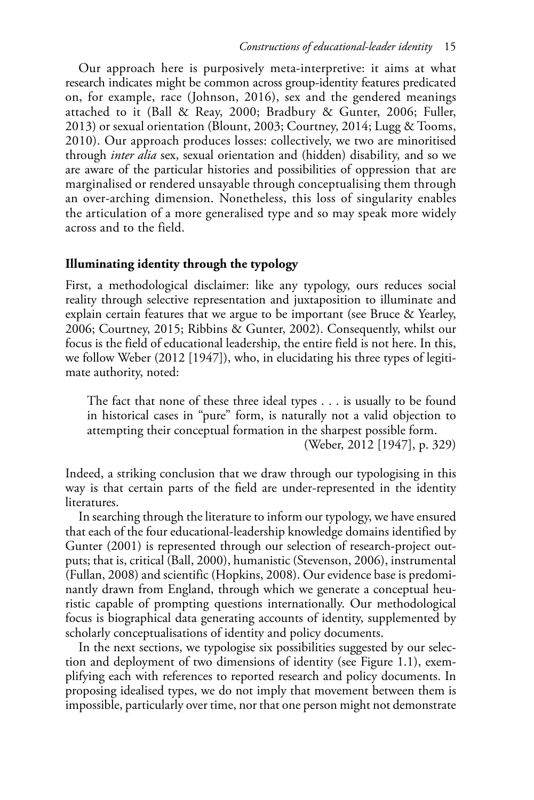Our approach here is purposively meta-interpretive: it aims at what research indicates might be common across group-identity features predicated on, for example, race (Johnson, 2016), sex and the gendered meanings attached to it (Ball & Reay, 2000; Bradbury & Gunter, 2006; Fuller, 2013) or sexual orientation (Blount, 2003; Courtney, 2014; Lugg & Tooms, 2010). Our approach produces losses: collectively, we two are minoritised through *inter alia* sex, sexual orientation and (hidden) disability, and so we are aware of the particular histories and possibilities of oppression that are marginalised or rendered unsayable through conceptualising them through an over-arching dimension. Nonetheless, this loss of singularity enables the articulation of a more generalised type and so may speak more widely across and to the field.

## **Illuminating identity through the typology**

First, a methodological disclaimer: like any typology, ours reduces social reality through selective representation and juxtaposition to illuminate and explain certain features that we argue to be important (see Bruce & Yearley, 2006; Courtney, 2015; Ribbins & Gunter, 2002). Consequently, whilst our focus is the field of educational leadership, the entire field is not here. In this, we follow Weber (2012 [1947]), who, in elucidating his three types of legitimate authority, noted:

The fact that none of these three ideal types . . . is usually to be found in historical cases in "pure" form, is naturally not a valid objection to attempting their conceptual formation in the sharpest possible form.

( Weber, 2012 [1947], p. 329)

Indeed, a striking conclusion that we draw through our typologising in this way is that certain parts of the feld are under-represented in the identity literatures.

In searching through the literature to inform our typology, we have ensured that each of the four educational-leadership knowledge domains identified by Gunter (2001) is represented through our selection of research-project outputs; that is, critical (Ball, 2000), humanistic (Stevenson, 2006), instrumental (Fullan, 2008) and scientific (Hopkins, 2008). Our evidence base is predominantly drawn from England, through which we generate a conceptual heuristic capable of prompting questions internationally. Our methodological focus is biographical data generating accounts of identity, supplemented by scholarly conceptualisations of identity and policy documents.

In the next sections, we typologise six possibilities suggested by our selection and deployment of two dimensions of identity (see Figure 1.1 ), exemplifying each with references to reported research and policy documents. In proposing idealised types, we do not imply that movement between them is impossible, particularly over time, nor that one person might not demonstrate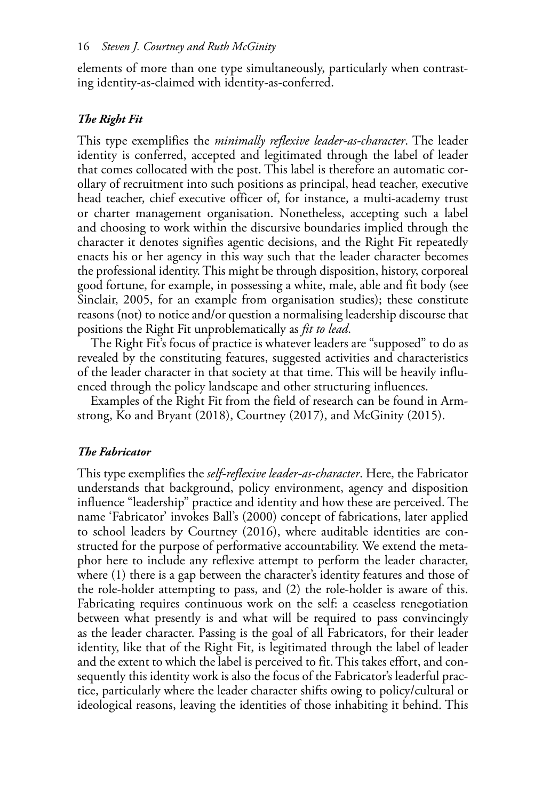elements of more than one type simultaneously, particularly when contrasting identity-as-claimed with identity-as-conferred.

#### *The Right Fit*

This type exemplifies the *minimally reflexive leader-as-character*. The leader identity is conferred, accepted and legitimated through the label of leader that comes collocated with the post. This label is therefore an automatic corollary of recruitment into such positions as principal, head teacher, executive head teacher, chief executive officer of, for instance, a multi-academy trust or charter management organisation. Nonetheless, accepting such a label and choosing to work within the discursive boundaries implied through the character it denotes signifies agentic decisions, and the Right Fit repeatedly enacts his or her agency in this way such that the leader character becomes the professional identity. This might be through disposition, history, corporeal good fortune, for example, in possessing a white, male, able and fit body (see Sinclair, 2005, for an example from organisation studies); these constitute reasons (not) to notice and/or question a normalising leadership discourse that positions the Right Fit unproblematically as *fit to lead*.

The Right Fit's focus of practice is whatever leaders are "supposed" to do as revealed by the constituting features, suggested activities and characteristics of the leader character in that society at that time. This will be heavily influenced through the policy landscape and other structuring influences.

Examples of the Right Fit from the field of research can be found in Armstrong, Ko and Bryant (2018), Courtney (2017), and McGinity (2015).

#### *The Fabricator*

This type exemplifies the *self-reflexive leader-as-character*. Here, the Fabricator understands that background, policy environment, agency and disposition influence "leadership" practice and identity and how these are perceived. The name 'Fabricator' invokes Ball's (2000) concept of fabrications, later applied to school leaders by Courtney (2016), where auditable identities are constructed for the purpose of performative accountability. We extend the metaphor here to include any reflexive attempt to perform the leader character, where (1) there is a gap between the character's identity features and those of the role-holder attempting to pass, and (2) the role-holder is aware of this. Fabricating requires continuous work on the self: a ceaseless renegotiation between what presently is and what will be required to pass convincingly as the leader character. Passing is the goal of all Fabricators, for their leader identity, like that of the Right Fit, is legitimated through the label of leader and the extent to which the label is perceived to fit. This takes effort, and consequently this identity work is also the focus of the Fabricator's leaderful practice, particularly where the leader character shifts owing to policy/cultural or ideological reasons, leaving the identities of those inhabiting it behind. This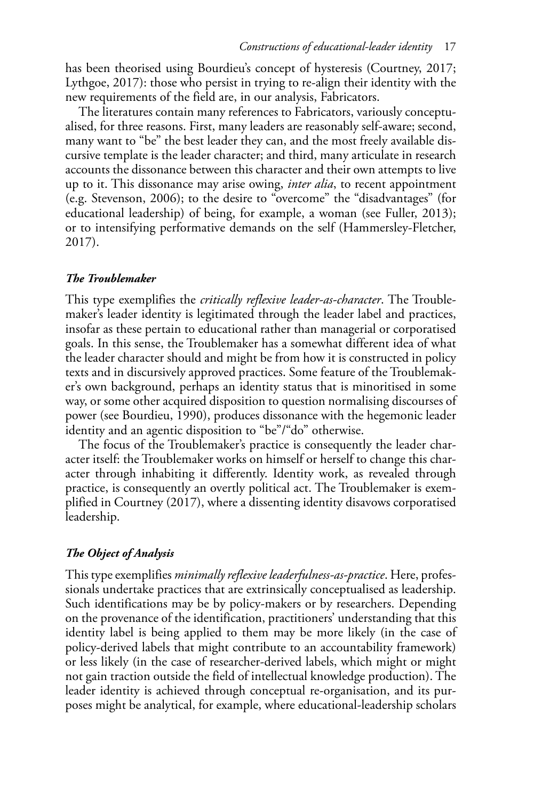has been theorised using Bourdieu's concept of hysteresis (Courtney, 2017; Lythgoe, 2017): those who persist in trying to re-align their identity with the new requirements of the field are, in our analysis, Fabricators.

The literatures contain many references to Fabricators, variously conceptualised, for three reasons. First, many leaders are reasonably self-aware; second, many want to "be" the best leader they can, and the most freely available discursive template is the leader character; and third, many articulate in research accounts the dissonance between this character and their own attempts to live up to it. This dissonance may arise owing, *inter alia*, to recent appointment (e.g. Stevenson, 2006); to the desire to "overcome" the "disadvantages" (for educational leadership) of being, for example, a woman (see Fuller, 2013); or to intensifying performative demands on the self ( Hammersley-Fletcher,  $2017$ .

#### *The Troublemaker*

This type exemplifies the *critically reflexive leader-as-character*. The Troublemaker's leader identity is legitimated through the leader label and practices, insofar as these pertain to educational rather than managerial or corporatised goals. In this sense, the Troublemaker has a somewhat different idea of what the leader character should and might be from how it is constructed in policy texts and in discursively approved practices. Some feature of the Troublemaker's own background, perhaps an identity status that is minoritised in some way, or some other acquired disposition to question normalising discourses of power (see Bourdieu, 1990), produces dissonance with the hegemonic leader identity and an agentic disposition to "be"/"do" otherwise.

The focus of the Troublemaker's practice is consequently the leader character itself: the Troublemaker works on himself or herself to change this character through inhabiting it differently. Identity work, as revealed through practice, is consequently an overtly political act. The Troublemaker is exemplified in Courtney (2017), where a dissenting identity disavows corporatised leadership.

## *The Object of Analysis*

This type exemplifies *minimally reflexive leaderfulness-as-practice*. Here, professionals undertake practices that are extrinsically conceptualised as leadership. Such identifications may be by policy-makers or by researchers. Depending on the provenance of the identification, practitioners' understanding that this identity label is being applied to them may be more likely (in the case of policy-derived labels that might contribute to an accountability framework) or less likely (in the case of researcher-derived labels, which might or might not gain traction outside the field of intellectual knowledge production). The leader identity is achieved through conceptual re-organisation, and its purposes might be analytical, for example, where educational-leadership scholars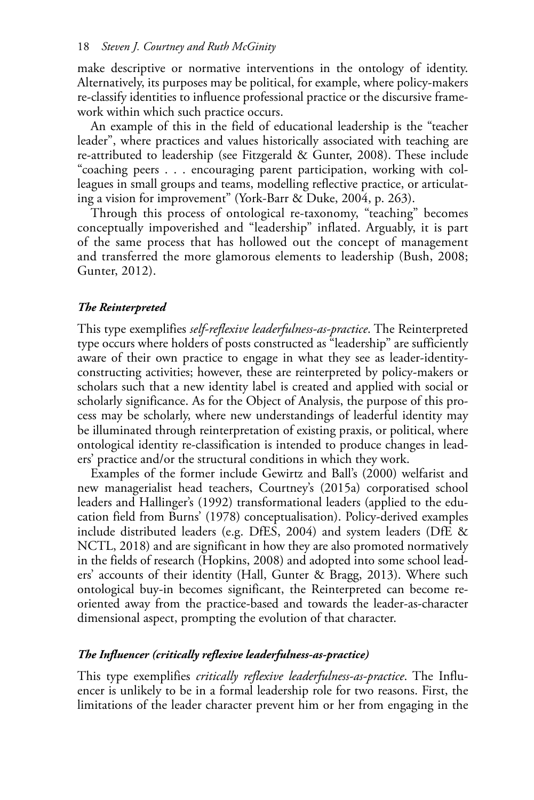make descriptive or normative interventions in the ontology of identity. Alternatively, its purposes may be political, for example, where policy-makers re-classify identities to influence professional practice or the discursive framework within which such practice occurs.

An example of this in the field of educational leadership is the "teacher leader", where practices and values historically associated with teaching are re-attributed to leadership (see Fitzgerald & Gunter, 2008). These include "coaching peers . . . encouraging parent participation, working with colleagues in small groups and teams, modelling reflective practice, or articulating a vision for improvement" (York-Barr & Duke, 2004, p. 263).

Through this process of ontological re-taxonomy, "teaching" becomes conceptually impoverished and "leadership" inflated. Arguably, it is part of the same process that has hollowed out the concept of management and transferred the more glamorous elements to leadership (Bush, 2008; Gunter, 2012).

## *The Reinterpreted*

This type exemplifies *self-reflexive leaderfulness-as-practice*. The Reinterpreted type occurs where holders of posts constructed as "leadership" are sufficiently aware of their own practice to engage in what they see as leader-identityconstructing activities; however, these are reinterpreted by policy-makers or scholars such that a new identity label is created and applied with social or scholarly significance. As for the Object of Analysis, the purpose of this process may be scholarly, where new understandings of leaderful identity may be illuminated through reinterpretation of existing praxis, or political, where ontological identity re-classification is intended to produce changes in leaders' practice and/or the structural conditions in which they work.

Examples of the former include Gewirtz and Ball's (2000) welfarist and new managerialist head teachers, Courtney's (2015a) corporatised school leaders and Hallinger's (1992) transformational leaders (applied to the education field from Burns' (1978) conceptualisation). Policy-derived examples include distributed leaders (e.g. DfES, 2004) and system leaders (DfE  $\&$ NCTL, 2018) and are significant in how they are also promoted normatively in the fields of research (Hopkins, 2008) and adopted into some school leaders' accounts of their identity (Hall, Gunter & Bragg, 2013). Where such ontological buy-in becomes significant, the Reinterpreted can become reoriented away from the practice-based and towards the leader-as-character dimensional aspect, prompting the evolution of that character.

#### *The Influencer (critically reflexive leaderfulness-as-practice)*

This type exemplifies *critically reflexive leaderfulness-as-practice*. The Influencer is unlikely to be in a formal leadership role for two reasons. First, the limitations of the leader character prevent him or her from engaging in the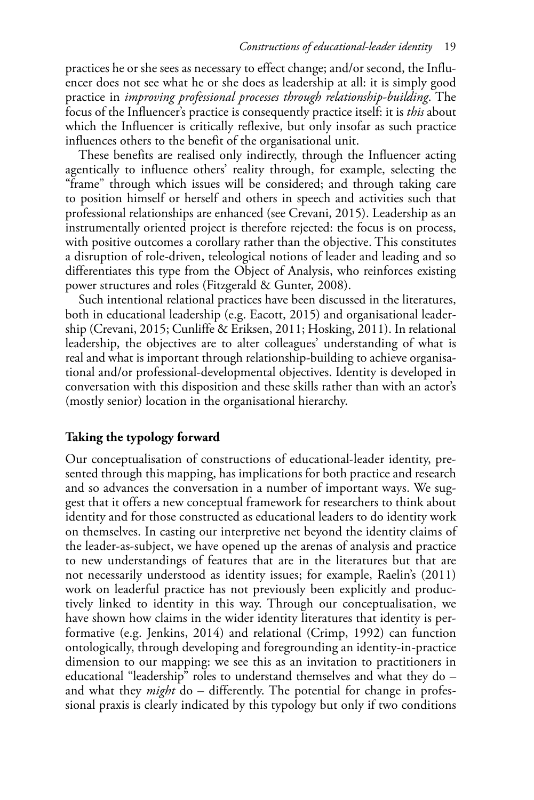practices he or she sees as necessary to effect change; and/or second, the Influencer does not see what he or she does as leadership at all: it is simply good practice in *improving professional processes through relationship-building*. The focus of the Influencer's practice is consequently practice itself: it is *this* about which the Influencer is critically reflexive, but only insofar as such practice influences others to the benefit of the organisational unit.

These benefits are realised only indirectly, through the Influencer acting agentically to influence others' reality through, for example, selecting the "frame" through which issues will be considered; and through taking care to position himself or herself and others in speech and activities such that professional relationships are enhanced (see Crevani, 2015). Leadership as an instrumentally oriented project is therefore rejected: the focus is on process, with positive outcomes a corollary rather than the objective. This constitutes a disruption of role-driven, teleological notions of leader and leading and so differentiates this type from the Object of Analysis, who reinforces existing power structures and roles (Fitzgerald & Gunter, 2008).

Such intentional relational practices have been discussed in the literatures, both in educational leadership (e.g. Eacott, 2015) and organisational leadership (Crevani, 2015; Cunliffe & Eriksen, 2011; Hosking, 2011). In relational leadership, the objectives are to alter colleagues' understanding of what is real and what is important through relationship-building to achieve organisational and/or professional-developmental objectives. Identity is developed in conversation with this disposition and these skills rather than with an actor's (mostly senior) location in the organisational hierarchy.

# **Taking the typology forward**

Our conceptualisation of constructions of educational-leader identity, presented through this mapping, has implications for both practice and research and so advances the conversation in a number of important ways. We suggest that it offers a new conceptual framework for researchers to think about identity and for those constructed as educational leaders to do identity work on themselves. In casting our interpretive net beyond the identity claims of the leader-as-subject, we have opened up the arenas of analysis and practice to new understandings of features that are in the literatures but that are not necessarily understood as identity issues; for example, Raelin's (2011) work on leaderful practice has not previously been explicitly and productively linked to identity in this way. Through our conceptualisation, we have shown how claims in the wider identity literatures that identity is performative (e.g. Jenkins, 2014) and relational (Crimp, 1992) can function ontologically, through developing and foregrounding an identity-in-practice dimension to our mapping: we see this as an invitation to practitioners in educational "leadership" roles to understand themselves and what they do – and what they *might* do – differently. The potential for change in professional praxis is clearly indicated by this typology but only if two conditions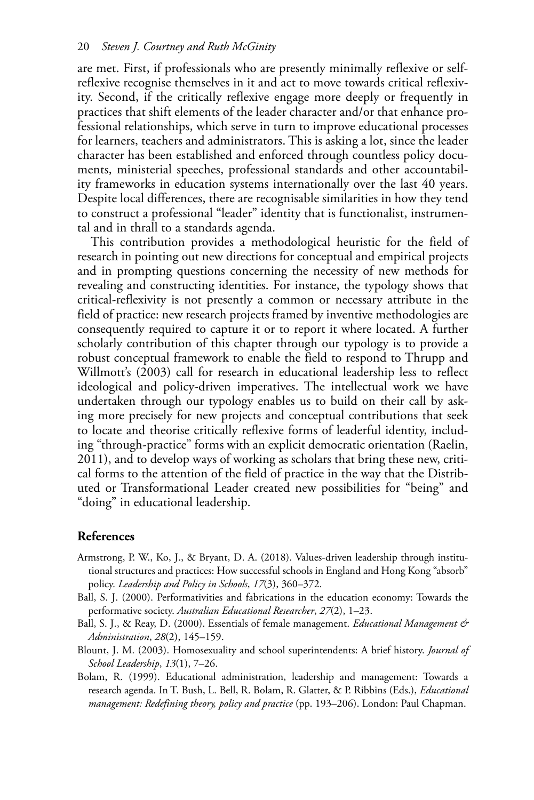are met. First, if professionals who are presently minimally reflexive or selfreflexive recognise themselves in it and act to move towards critical reflexivity. Second, if the critically reflexive engage more deeply or frequently in practices that shift elements of the leader character and/or that enhance professional relationships, which serve in turn to improve educational processes for learners, teachers and administrators. This is asking a lot, since the leader character has been established and enforced through countless policy documents, ministerial speeches, professional standards and other accountability frameworks in education systems internationally over the last 40 years. Despite local differences, there are recognisable similarities in how they tend to construct a professional "leader" identity that is functionalist, instrumental and in thrall to a standards agenda.

This contribution provides a methodological heuristic for the field of research in pointing out new directions for conceptual and empirical projects and in prompting questions concerning the necessity of new methods for revealing and constructing identities. For instance, the typology shows that critical-reflexivity is not presently a common or necessary attribute in the field of practice: new research projects framed by inventive methodologies are consequently required to capture it or to report it where located. A further scholarly contribution of this chapter through our typology is to provide a robust conceptual framework to enable the field to respond to Thrupp and Willmott's (2003) call for research in educational leadership less to reflect ideological and policy-driven imperatives. The intellectual work we have undertaken through our typology enables us to build on their call by asking more precisely for new projects and conceptual contributions that seek to locate and theorise critically reflexive forms of leaderful identity, including "through-practice" forms with an explicit democratic orientation (Raelin, 2011 ), and to develop ways of working as scholars that bring these new, critical forms to the attention of the field of practice in the way that the Distributed or Transformational Leader created new possibilities for "being" and "doing" in educational leadership.

## **References**

- Armstrong, P. W., Ko, J., & Bryant, D. A. (2018). Values-driven leadership through institutional structures and practices: How successful schools in England and Hong Kong "absorb" policy. *Leadership and Policy in Schools*, 17(3), 360–372.
- Ball, S. J. (2000). Performativities and fabrications in the education economy: Towards the performative society. Australian Educational Researcher, 27(2), 1-23.
- Ball, S. J., & Reay, D. (2000). Essentials of female management. *Educational Management & Administration*, *28* (2), 145–159.
- Blount, J. M. (2003). Homosexuality and school superintendents: A brief history. *Journal of School Leadership*, *13* (1), 7–26.
- Bolam, R. (1999). Educational administration, leadership and management: Towards a research agenda. In T. Bush, L. Bell, R. Bolam, R. Glatter, & P. Ribbins (Eds.), *Educational management: Redefining theory, policy and practice* (pp. 193–206). London: Paul Chapman.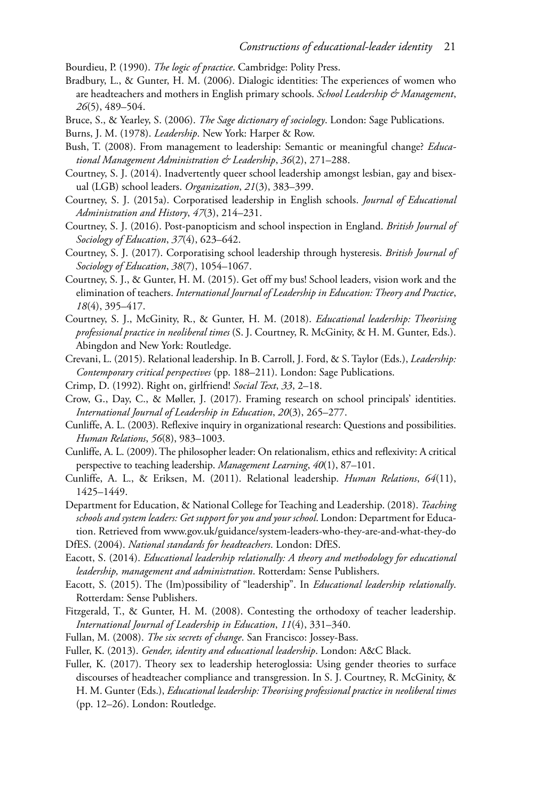Bourdieu, P. (1990). *The logic of practice*. Cambridge: Polity Press.

- Bradbury, L., & Gunter, H. M. (2006). Dialogic identities: The experiences of women who are headteachers and mothers in English primary schools. *School Leadership & Management*, *26* (5), 489–504.
- Bruce, S., & Yearley, S. (2006). *The Sage dictionary of sociology*. London: Sage Publications.
- Burns, J. M. (1978). *Leadership*. New York: Harper & Row.
- Bush, T. (2008). From management to leadership: Semantic or meaningful change? *Educational Management Administration & Leadership*, *36* (2), 271–288.
- Courtney, S. J. (2014). Inadvertently queer school leadership amongst lesbian, gay and bisexual (LGB) school leaders. *Organization*, *21* (3), 383–399.
- Courtney, S. J. (2015a). Corporatised leadership in English schools. *Journal of Educational Administration and History*, *47* (3), 214–231.
- Courtney, S. J. (2016). Post-panopticism and school inspection in England. *British Journal of Sociology of Education*, *37* (4), 623–642.
- Courtney, S. J. (2017). Corporatising school leadership through hysteresis. *British Journal of Sociology of Education*, *38* (7), 1054–1067.
- Courtney, S. J., & Gunter, H. M. (2015). Get off my bus! School leaders, vision work and the elimination of teachers. *International Journal of Leadership in Education: Theory and Practice*, *18* (4), 395–417.
- Courtney, S. J., McGinity, R., & Gunter, H. M. (2018). *Educational leadership: Theorising professional practice in neoliberal times* (S. J. Courtney, R. McGinity, & H. M. Gunter, Eds.). Abingdon and New York: Routledge.
- Crevani, L. (2015). Relational leadership. In B. Carroll, J. Ford, & S. Taylor (Eds.), *Leadership: Contemporary critical perspectives* (pp. 188–211). London: Sage Publications.
- Crimp, D. (1992). Right on, girlfriend! *Social Text*, *33* , 2–18.
- Crow, G., Day, C., & Møller, J. (2017). Framing research on school principals' identities. *International Journal of Leadership in Education*, *20* (3), 265–277.
- Cunliffe, A. L. (2003). Reflexive inquiry in organizational research: Questions and possibilities. *Human Relations*, *56* (8), 983–1003.
- Cunliffe, A. L. (2009). The philosopher leader: On relationalism, ethics and reflexivity: A critical perspective to teaching leadership. *Management Learning*, 40(1), 87-101.
- Cunliffe, A. L., & Eriksen, M. (2011). Relational leadership. *Human Relations*, *64*(11), 1425–1449.
- Department for Education, & National College for Teaching and Leadership. (2018). *Teaching schools and system leaders: Get support for you and your school*. London: Department for Education. Retrieved from [www.gov.uk/guidance/system-leaders-who-they-are-and-what-they-do](http://www.gov.uk)
- DfES. (2004). *National standards for headteachers*. London: DfES.
- Eacott, S. (2014). *Educational leadership relationally: A theory and methodology for educational leadership, management and administration*. Rotterdam: Sense Publishers.
- Eacott, S. (2015). The (Im)possibility of "leadership". In *Educational leadership relationally*. Rotterdam: Sense Publishers.
- Fitzgerald, T., & Gunter, H. M. (2008). Contesting the orthodoxy of teacher leadership. *International Journal of Leadership in Education*, *11* (4), 331–340.
- Fullan, M. (2008). *The six secrets of change*. San Francisco: Jossey-Bass.
- Fuller, K. (2013). *Gender, identity and educational leadership*. London: A&C Black.
- Fuller, K. (2017). Theory sex to leadership heteroglossia: Using gender theories to surface discourses of headteacher compliance and transgression. In S. J. Courtney, R. McGinity, & H. M. Gunter (Eds.), *Educational leadership: Theorising professional practice in neoliberal times*  (pp. 12–26). London: Routledge.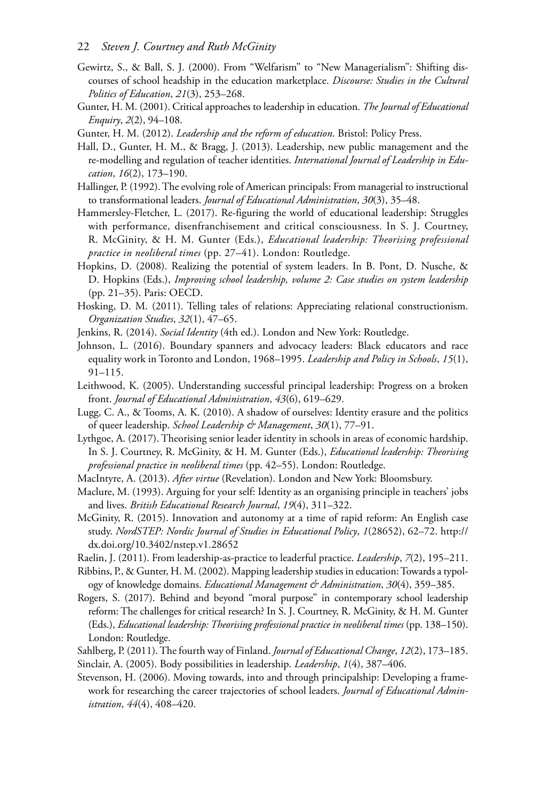#### 22 *Steven J. Courtney and Ruth McGinity*

- Gewirtz, S., & Ball, S. J. (2000). From "Welfarism" to "New Managerialism": Shifting discourses of school headship in the education marketplace. *Discourse: Studies in the Cultural Politics of Education*, *21* (3), 253–268.
- Gunter, H. M. (2001). Critical approaches to leadership in education. *The Journal of Educational Enquiry*, *2* (2), 94–108.
- Gunter, H. M. (2012). *Leadership and the reform of education*. Bristol: Policy Press.
- Hall, D., Gunter, H. M., & Bragg, J. (2013). Leadership, new public management and the re-modelling and regulation of teacher identities. *International Journal of Leadership in Education*, *16* (2), 173–190.
- Hallinger, P. (1992). The evolving role of American principals: From managerial to instructional to transformational leaders. *Journal of Educational Administration*, *30* (3), 35–48.
- Hammersley-Fletcher, L. (2017). Re-figuring the world of educational leadership: Struggles with performance, disenfranchisement and critical consciousness. In S. J. Courtney, R. McGinity, & H. M. Gunter (Eds.), *Educational leadership: Theorising professional practice in neoliberal times* (pp. 27–41). London: Routledge.
- Hopkins, D. (2008). Realizing the potential of system leaders. In B. Pont, D. Nusche, & D. Hopkins (Eds.), *Improving school leadership, volume 2: Case studies on system leadership*  (pp. 21–35). Paris: OECD.
- Hosking, D. M. (2011). Telling tales of relations: Appreciating relational constructionism. *Organization Studies*, *32* (1), 47–65.
- Jenkins, R. (2014). *Social Identity* (4th ed.). London and New York: Routledge.
- Johnson, L. (2016). Boundary spanners and advocacy leaders: Black educators and race equality work in Toronto and London, 1968–1995. *Leadership and Policy in Schools*, *15*(1), 91–115.
- Leithwood, K. (2005). Understanding successful principal leadership: Progress on a broken front. *Journal of Educational Administration*, *43* (6), 619–629.
- Lugg, C. A., & Tooms, A. K. (2010). A shadow of ourselves: Identity erasure and the politics of queer leadership. *School Leadership & Management*, *30* (1), 77–91.
- Lythgoe, A. (2017). Theorising senior leader identity in schools in areas of economic hardship. In S. J. Courtney, R. McGinity, & H. M. Gunter (Eds.), *Educational leadership: Theorising professional practice in neoliberal times* (pp. 42–55). London: Routledge.
- MacIntyre, A. (2013). *After virtue* (Revelation). London and New York: Bloomsbury.
- Maclure, M. (1993). Arguing for your self: Identity as an organising principle in teachers' jobs and lives. *British Educational Research Journal*, *19* (4), 311–322.
- McGinity, R. (2015). Innovation and autonomy at a time of rapid reform: An English case study. *NordSTEP: Nordic Journal of Studies in Educational Policy*, *1*(28652), 62–72. [http://](http://dx.doi.org)  [dx.doi.org/10.3402/nstep.v1.28652](http://dx.doi.org)
- Raelin, J. (2011). From leadership-as-practice to leaderful practice. *Leadership*, *7* (2), 195–211.
- Ribbins, P., & Gunter, H. M. (2002). Mapping leadership studies in education: Towards a typology of knowledge domains. *Educational Management & Administration*, *30* (4), 359–385.
- Rogers, S. (2017). Behind and beyond "moral purpose" in contemporary school leadership reform: The challenges for critical research? In S. J. Courtney, R. McGinity, & H. M. Gunter (Eds.), *Educational leadership: Theorising professional practice in neoliberal times* (pp. 138–150). London: Routledge.
- Sahlberg, P. (2011). The fourth way of Finland. *Journal of Educational Change*, *12* (2), 173–185. Sinclair, A. (2005). Body possibilities in leadership. *Leadership*, *1* (4), 387–406.
- Stevenson, H. (2006). Moving towards, into and through principalship: Developing a framework for researching the career trajectories of school leaders. *Journal of Educational Administration*, *44* (4), 408–420.